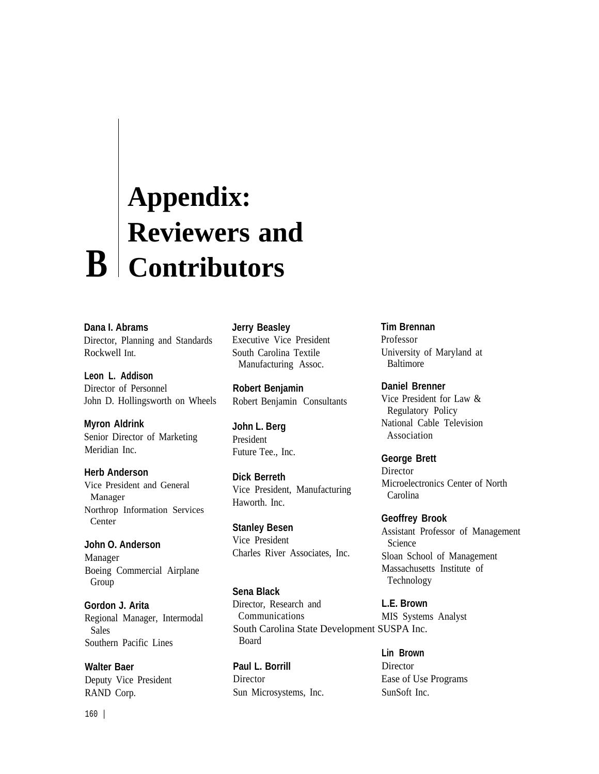# **Appendix: Reviewers and B Contributors**

**Dana I. Abrams** Director, Planning and Standards Rockwell Int.

**Leon L. Addison** Director of Personnel John D. Hollingsworth on Wheels

**Myron Aldrink** Senior Director of Marketing Meridian Inc.

**Herb Anderson** Vice President and General Manager Northrop Information Services Center

**John O. Anderson** Manager Boeing Commercial Airplane Group

**Gordon J. Arita** Regional Manager, Intermodal Sales Southern Pacific Lines

**Walter Baer** Deputy Vice President RAND Corp.

**Jerry Beasley** Executive Vice President South Carolina Textile Manufacturing Assoc.

**Robert Benjamin** Robert Benjamin Consultants

**John L. Berg** President Future Tee., Inc.

**Dick Berreth** Vice President, Manufacturing Haworth. Inc.

**Stanley Besen** Vice President Charles River Associates, Inc.

**Sena Black** Director, Research and Communications South Carolina State Development SUSPA Inc. Board

Paul L. Borrill Director Director Ease of Use Programs Sun Microsystems, Inc. SunSoft Inc.

**Tim Brennan** Professor University of Maryland at Baltimore

**Daniel Brenner** Vice President for Law & Regulatory Policy National Cable Television Association

**George Brett Director** Microelectronics Center of North Carolina

**Geoffrey Brook** Assistant Professor of Management Science Sloan School of Management Massachusetts Institute of Technology

**L.E. Brown** MIS Systems Analyst

**Lin Brown**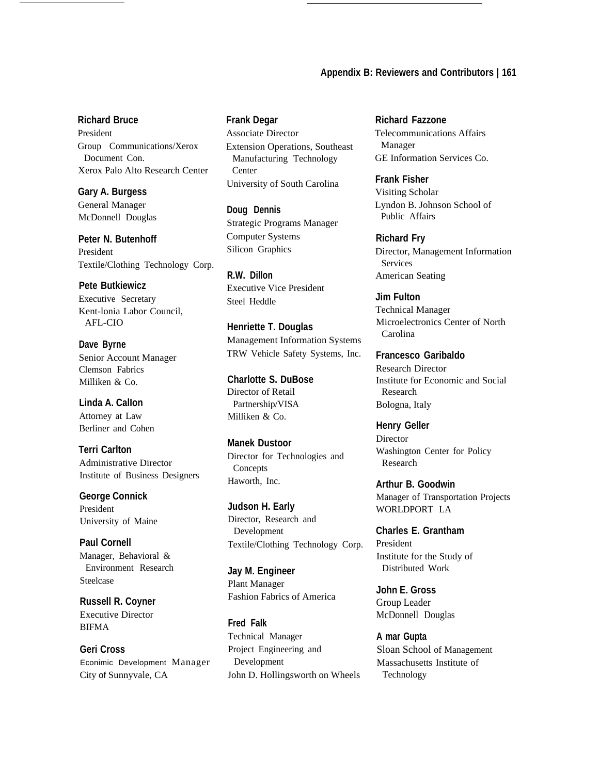### **Appendix B: Reviewers and Contributors | 161**

## **Richard Bruce**

President Group Communications/Xerox Document Con. Xerox Palo Alto Research Center

**Gary A. Burgess** General Manager McDonnell Douglas

**Peter N. Butenhoff** President Textile/Clothing Technology Corp.

**Pete Butkiewicz** Executive Secretary Kent-lonia Labor Council, AFL-CIO

**Dave Byrne** Senior Account Manager Clemson Fabrics Milliken & Co.

**Linda A. CalIon** Attorney at Law Berliner and Cohen

**Terri Carlton** Administrative Director Institute of Business Designers

**George Connick** President University of Maine

**Paul Cornell** Manager, Behavioral & Environment Research Steelcase

**Russell R. Coyner** Executive Director BIFMA

**Geri Cross** Econimic Development Manager City of Sunnyvale, CA

#### **Frank Degar**

Associate Director Extension Operations, Southeast Manufacturing Technology Center University of South Carolina

**Doug Dennis** Strategic Programs Manager Computer Systems Silicon Graphics

**R.W. Dillon** Executive Vice President Steel Heddle

**Henriette T. Douglas** Management Information Systems TRW Vehicle Safety Systems, Inc.

**Charlotte S. DuBose** Director of Retail Partnership/VISA Milliken & Co.

**Manek Dustoor** Director for Technologies and **Concepts** Haworth, Inc.

**Judson H. Early** Director, Research and Development Textile/Clothing Technology Corp.

**Jay M. Engineer** Plant Manager Fashion Fabrics of America

**Fred Falk** Technical Manager Project Engineering and Development John D. Hollingsworth on Wheels

**Richard Fazzone** Telecommunications Affairs Manager GE Information Services Co.

**Frank Fisher** Visiting Scholar Lyndon B. Johnson School of Public Affairs

**Richard Fry** Director, Management Information Services American Seating

**Jim Fulton** Technical Manager Microelectronics Center of North Carolina

**Francesco Garibaldo** Research Director Institute for Economic and Social Research Bologna, Italy

**Henry Geller Director** Washington Center for Policy Research

**Arthur B. Goodwin** Manager of Transportation Projects WORLDPORT LA

**Charles E. Grantham** President Institute for the Study of Distributed Work

**John E. Gross** Group Leader McDonnell Douglas

**A mar Gupta** Sloan School of Management Massachusetts Institute of Technology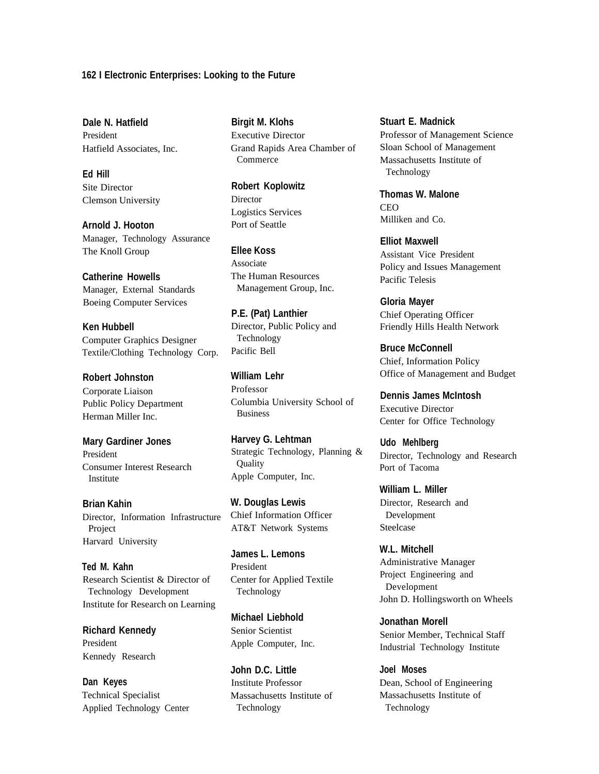#### **162 I Electronic Enterprises: Looking to the Future**

**Dale N. Hatfield** President Hatfield Associates, Inc.

**Ed Hill** Site Director Clemson University

**Arnold J. Hooton** Manager, Technology Assurance The Knoll Group

**Catherine Howells** Manager, External Standards Boeing Computer Services

**Ken Hubbell** Computer Graphics Designer Textile/Clothing Technology Corp.

**Robert Johnston** Corporate Liaison Public Policy Department Herman Miller Inc.

**Mary Gardiner Jones** President Consumer Interest Research Institute

**Brian Kahin** Director, Information Infrastructure Project Harvard University

**Ted M. Kahn** Research Scientist & Director of Technology Development Institute for Research on Learning

**Richard Kennedy** President Kennedy Research

**Dan Keyes** Technical Specialist Applied Technology Center

**Birgit M. Klohs** Executive Director Grand Rapids Area Chamber of Commerce

**Robert Koplowitz** Director Logistics Services Port of Seattle

**Ellee Koss** Associate The Human Resources Management Group, Inc.

**P.E. (Pat) Lanthier** Director, Public Policy and Technology Pacific Bell

**William Lehr** Professor Columbia University School of Business

**Harvey G. Lehtman** Strategic Technology, Planning & **Quality** Apple Computer, Inc.

**W. Douglas Lewis** Chief Information Officer AT&T Network Systems

**James L. Lemons** President Center for Applied Textile Technology

**Michael Liebhold** Senior Scientist Apple Computer, Inc.

**John D.C. Little** Institute Professor Massachusetts Institute of Technology

**Stuart E. Madnick** Professor of Management Science Sloan School of Management Massachusetts Institute of Technology

**Thomas W. Malone CEO** Milliken and Co.

**Elliot Maxwell** Assistant Vice President Policy and Issues Management Pacific Telesis

**Gloria Mayer** Chief Operating Officer Friendly Hills Health Network

**Bruce McConnell** Chief, Information Policy Office of Management and Budget

**Dennis James McIntosh** Executive Director Center for Office Technology

**Udo Mehlberg** Director, Technology and Research Port of Tacoma

**William L. Miller** Director, Research and Development Steelcase

**W.L. Mitchell** Administrative Manager Project Engineering and Development John D. Hollingsworth on Wheels

**Jonathan Morell** Senior Member, Technical Staff Industrial Technology Institute

**Joel Moses** Dean, School of Engineering Massachusetts Institute of Technology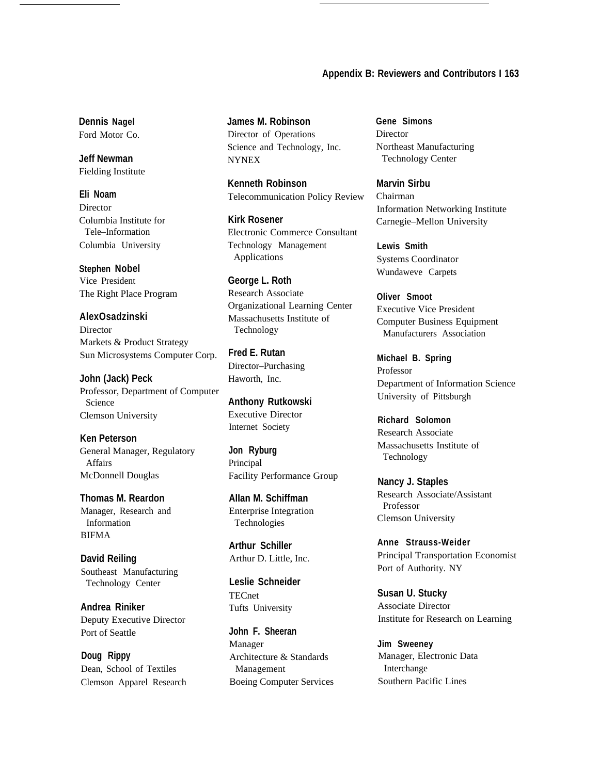## **Appendix B: Reviewers and Contributors I 163**

**Dennis Nagel** Ford Motor Co.

**Jeff Newman** Fielding Institute

**Eli Noam** Director Columbia Institute for Tele–Information Columbia University

**Stephen Nobel** Vice President The Right Place Program

**AlexOsadzinski** Director Markets & Product Strategy Sun Microsystems Computer Corp.

**John (Jack) Peck** Professor, Department of Computer Science Clemson University

**Ken Peterson** General Manager, Regulatory Affairs McDonnell Douglas

**Thomas M. Reardon** Manager, Research and Information BIFMA

**David Reiling** Southeast Manufacturing Technology Center

**Andrea Riniker** Deputy Executive Director Port of Seattle

**Doug Rippy** Dean, School of Textiles Clemson Apparel Research **James M. Robinson** Director of Operations Science and Technology, Inc. NYNEX

**Kenneth Robinson** Telecommunication Policy Review

**Kirk Rosener** Electronic Commerce Consultant Technology Management Applications

**George L. Roth** Research Associate Organizational Learning Center Massachusetts Institute of Technology

**Fred E. Rutan** Director–Purchasing Haworth, Inc.

**Anthony Rutkowski** Executive Director Internet Society

**Jon Ryburg** Principal Facility Performance Group

**AlIan M. Schiffman** Enterprise Integration Technologies

**Arthur Schiller** Arthur D. Little, Inc.

**Leslie Schneider TECnet** Tufts University

**John F. Sheeran** Manager Architecture & Standards Management Boeing Computer Services **Gene Simons** Director Northeast Manufacturing Technology Center

**Marvin Sirbu** Chairman Information Networking Institute Carnegie–Mellon University

**Lewis Smith** Systems Coordinator Wundaweve Carpets

**Oliver Smoot** Executive Vice President Computer Business Equipment Manufacturers Association

**Michael B. Spring** Professor Department of Information Science University of Pittsburgh

**Richard Solomon** Research Associate Massachusetts Institute of Technology

**Nancy J. Staples** Research Associate/Assistant Professor Clemson University

**Anne Strauss-Weider** Principal Transportation Economist Port of Authority. NY

**Susan U. Stucky** Associate Director Institute for Research on Learning

**Jim Sweeney** Manager, Electronic Data Interchange Southern Pacific Lines